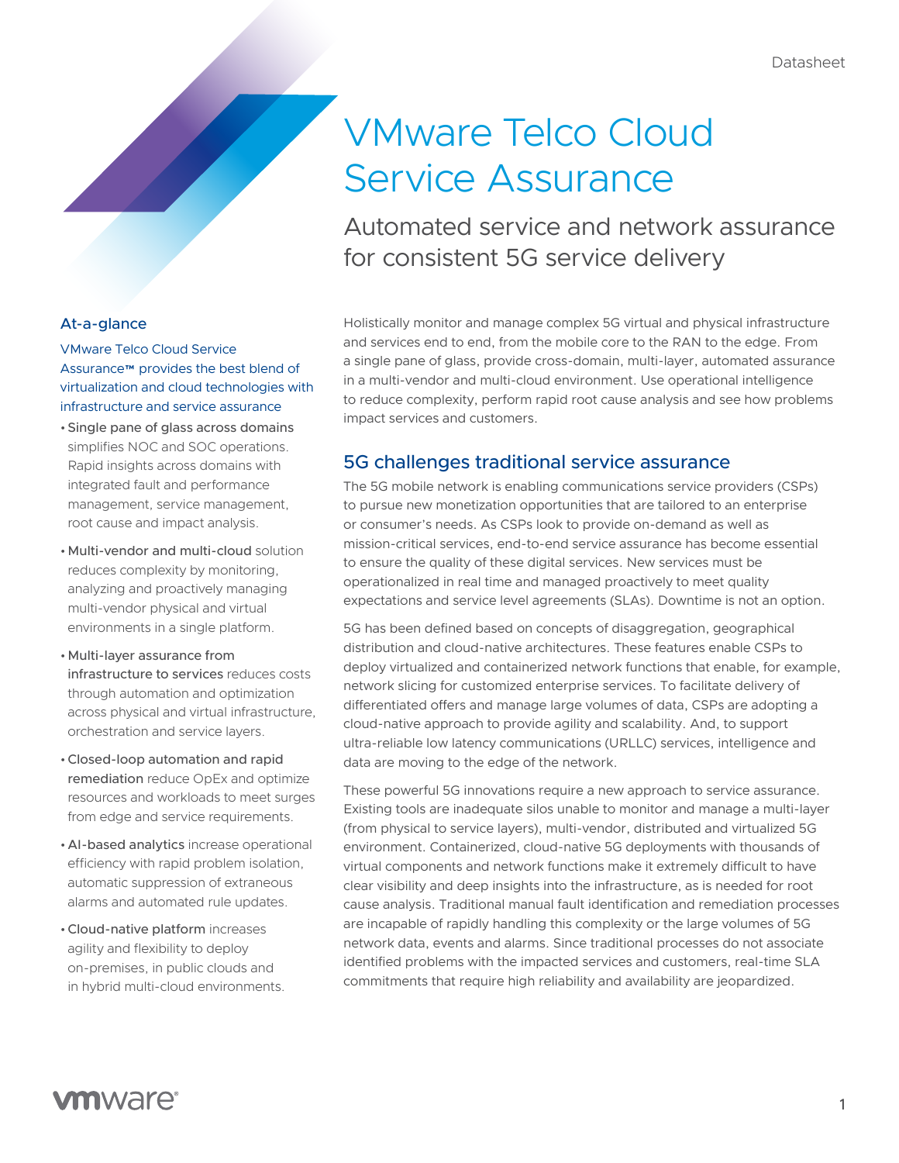# VMware Telco Cloud Service Assurance

Automated service and network assurance for consistent 5G service delivery

Holistically monitor and manage complex 5G virtual and physical infrastructure and services end to end, from the mobile core to the RAN to the edge. From a single pane of glass, provide cross-domain, multi-layer, automated assurance in a multi-vendor and multi-cloud environment. Use operational intelligence to reduce complexity, perform rapid root cause analysis and see how problems impact services and customers.

# 5G challenges traditional service assurance

The 5G mobile network is enabling communications service providers (CSPs) to pursue new monetization opportunities that are tailored to an enterprise or consumer's needs. As CSPs look to provide on‑demand as well as mission‑critical services, end‑to‑end service assurance has become essential to ensure the quality of these digital services. New services must be operationalized in real time and managed proactively to meet quality expectations and service level agreements (SLAs). Downtime is not an option.

5G has been defined based on concepts of disaggregation, geographical distribution and cloud‑native architectures. These features enable CSPs to deploy virtualized and containerized network functions that enable, for example, network slicing for customized enterprise services. To facilitate delivery of differentiated offers and manage large volumes of data, CSPs are adopting a cloud‑native approach to provide agility and scalability. And, to support ultra-reliable low latency communications (URLLC) services, intelligence and data are moving to the edge of the network.

These powerful 5G innovations require a new approach to service assurance. Existing tools are inadequate silos unable to monitor and manage a multi-layer (from physical to service layers), multi‑vendor, distributed and virtualized 5G environment. Containerized, cloud‑native 5G deployments with thousands of virtual components and network functions make it extremely difficult to have clear visibility and deep insights into the infrastructure, as is needed for root cause analysis. Traditional manual fault identification and remediation processes are incapable of rapidly handling this complexity or the large volumes of 5G network data, events and alarms. Since traditional processes do not associate identified problems with the impacted services and customers, real-time SLA commitments that require high reliability and availability are jeopardized.

### At-a-glance

VMware Telco Cloud Service Assurance™ provides the best blend of virtualization and cloud technologies with infrastructure and service assurance

- •Single pane of glass across domains simplifies NOC and SOC operations. Rapid insights across domains with integrated fault and performance management, service management, root cause and impact analysis.
- •Multi‑vendor and multi‑cloud solution reduces complexity by monitoring, analyzing and proactively managing multi‑vendor physical and virtual environments in a single platform.
- •Multi‑layer assurance from infrastructure to services reduces costs through automation and optimization across physical and virtual infrastructure, orchestration and service layers.
- •Closed‑loop automation and rapid remediation reduce OpEx and optimize resources and workloads to meet surges from edge and service requirements.
- •AI‑based analytics increase operational efficiency with rapid problem isolation, automatic suppression of extraneous alarms and automated rule updates.
- •Cloud‑native platform increases agility and flexibility to deploy on‑premises, in public clouds and in hybrid multi-cloud environments.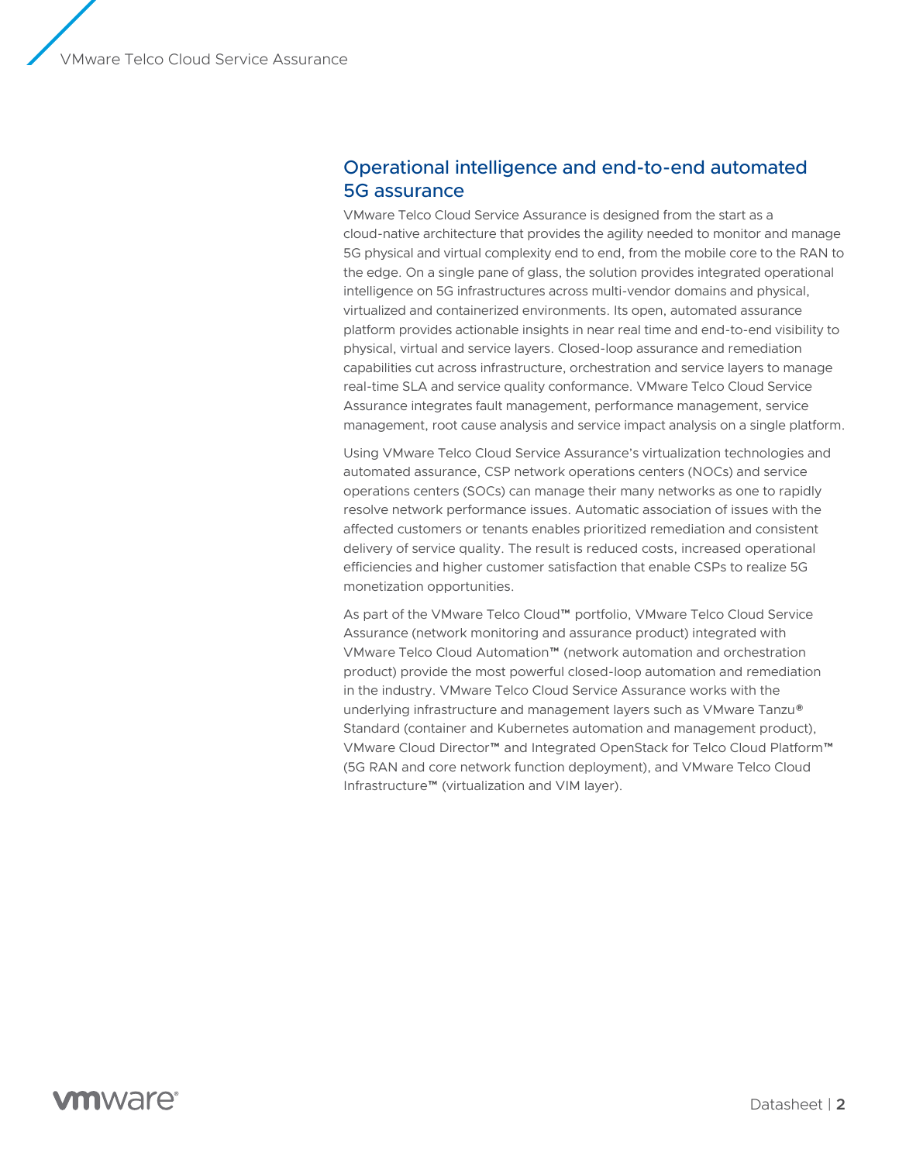# Operational intelligence and end‑to‑end automated 5G assurance

VMware Telco Cloud Service Assurance is designed from the start as a cloud‑native architecture that provides the agility needed to monitor and manage 5G physical and virtual complexity end to end, from the mobile core to the RAN to the edge. On a single pane of glass, the solution provides integrated operational intelligence on 5G infrastructures across multi-vendor domains and physical, virtualized and containerized environments. Its open, automated assurance platform provides actionable insights in near real time and end‑to‑end visibility to physical, virtual and service layers. Closed‑loop assurance and remediation capabilities cut across infrastructure, orchestration and service layers to manage real-time SLA and service quality conformance. VMware Telco Cloud Service Assurance integrates fault management, performance management, service management, root cause analysis and service impact analysis on a single platform.

Using VMware Telco Cloud Service Assurance's virtualization technologies and automated assurance, CSP network operations centers (NOCs) and service operations centers (SOCs) can manage their many networks as one to rapidly resolve network performance issues. Automatic association of issues with the affected customers or tenants enables prioritized remediation and consistent delivery of service quality. The result is reduced costs, increased operational efficiencies and higher customer satisfaction that enable CSPs to realize 5G monetization opportunities.

As part of the VMware Telco Cloud™ portfolio, VMware Telco Cloud Service Assurance (network monitoring and assurance product) integrated with VMware Telco Cloud Automation™ (network automation and orchestration product) provide the most powerful closed‑loop automation and remediation in the industry. VMware Telco Cloud Service Assurance works with the underlying infrastructure and management layers such as VMware Tanzu® Standard (container and Kubernetes automation and management product), VMware Cloud Director™ and Integrated OpenStack for Telco Cloud Platform™ (5G RAN and core network function deployment), and VMware Telco Cloud Infrastructure™ (virtualization and VIM layer).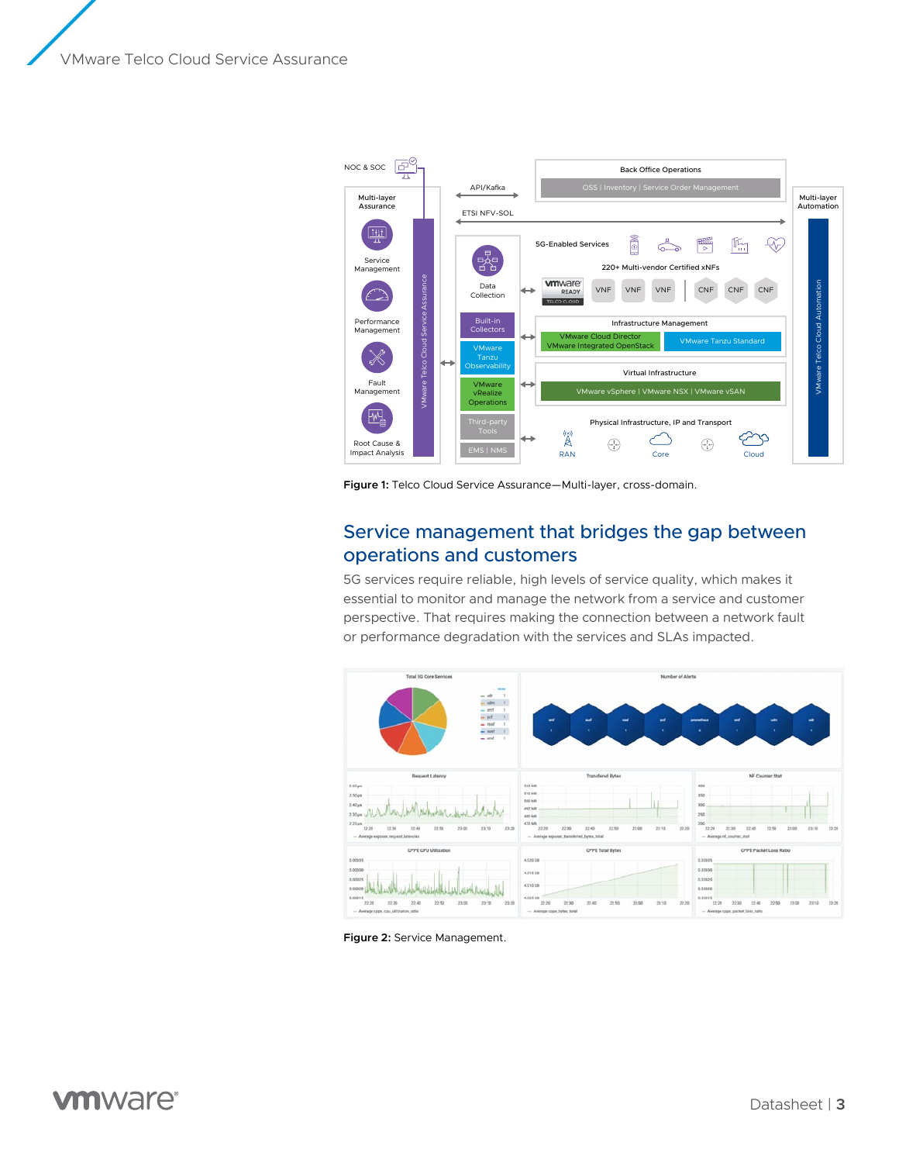VMware Telco Cloud Service Assurance



Figure 1: Telco Cloud Service Assurance—Multi-layer, cross-domain.

# Service management that bridges the gap between operations and customers

5G services require reliable, high levels of service quality, which makes it essential to monitor and manage the network from a service and customer perspective. That requires making the connection between a network fault or performance degradation with the services and SLAs impacted.



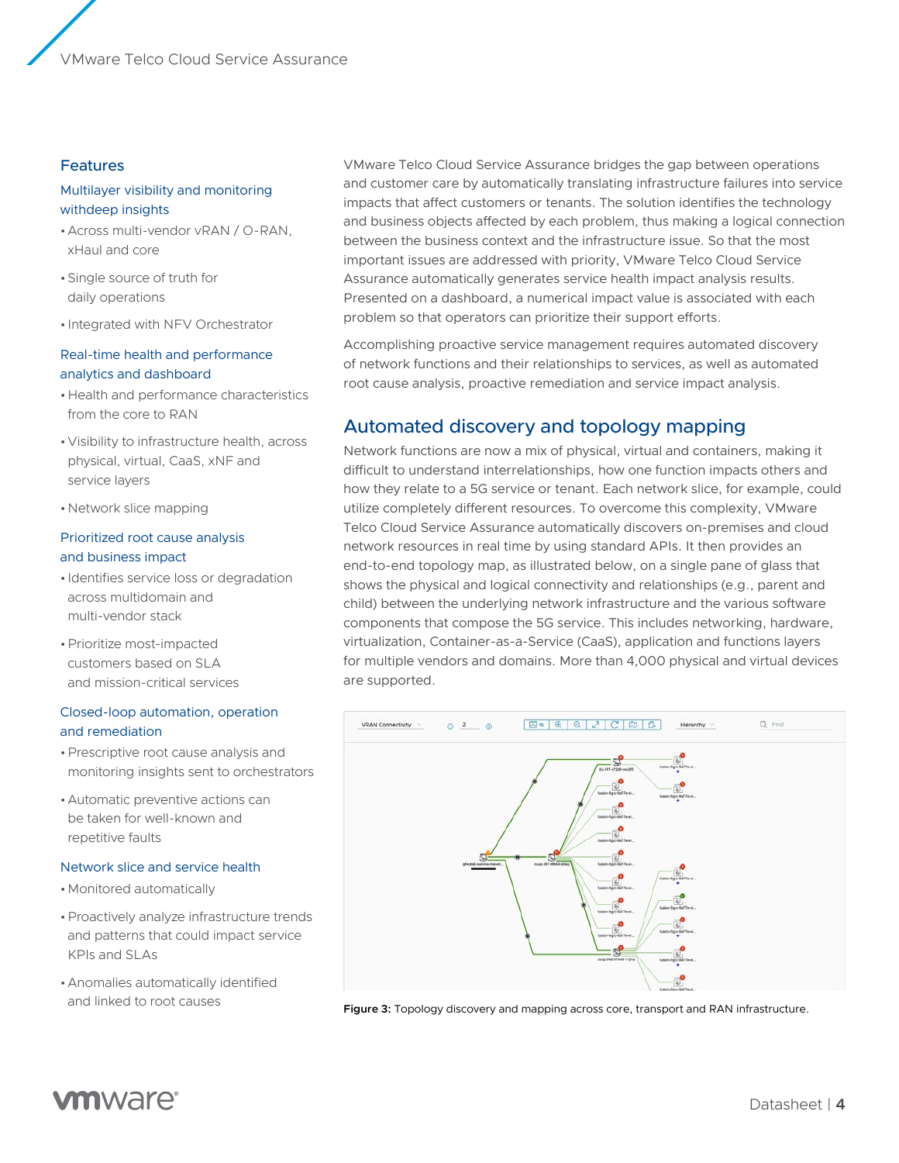#### Features

#### Multilayer visibility and monitoring withdeep insights

- •Across multi‑vendor vRAN / O‑RAN, xHaul and core
- •Single source of truth for daily operations
- Integrated with NFV Orchestrator

#### Real-time health and performance analytics and dashboard

- •Health and performance characteristics from the core to RAN
- •Visibility to infrastructure health, across physical, virtual, CaaS, xNF and service layers
- •Network slice mapping

#### Prioritized root cause analysis and business impact

- Identifies service loss or degradation across multidomain and multi‑vendor stack
- •Prioritize most‑impacted customers based on SLA and mission‑critical services

#### Closed‑loop automation, operation and remediation

- •Prescriptive root cause analysis and monitoring insights sent to orchestrators
- •Automatic preventive actions can be taken for well‑known and repetitive faults

#### Network slice and service health

- •Monitored automatically
- •Proactively analyze infrastructure trends and patterns that could impact service KPIs and SLAs
- •Anomalies automatically identified and linked to root causes

VMware Telco Cloud Service Assurance bridges the gap between operations and customer care by automatically translating infrastructure failures into service impacts that affect customers or tenants. The solution identifies the technology and business objects affected by each problem, thus making a logical connection between the business context and the infrastructure issue. So that the most important issues are addressed with priority, VMware Telco Cloud Service Assurance automatically generates service health impact analysis results. Presented on a dashboard, a numerical impact value is associated with each problem so that operators can prioritize their support efforts.

Accomplishing proactive service management requires automated discovery of network functions and their relationships to services, as well as automated root cause analysis, proactive remediation and service impact analysis.

# Automated discovery and topology mapping

Network functions are now a mix of physical, virtual and containers, making it difficult to understand interrelationships, how one function impacts others and how they relate to a 5G service or tenant. Each network slice, for example, could utilize completely different resources. To overcome this complexity, VMware Telco Cloud Service Assurance automatically discovers on‑premises and cloud network resources in real time by using standard APIs. It then provides an end-to-end topology map, as illustrated below, on a single pane of glass that shows the physical and logical connectivity and relationships (e.g., parent and child) between the underlying network infrastructure and the various software components that compose the 5G service. This includes networking, hardware, virtualization, Container‑as‑a‑Service (CaaS), application and functions layers for multiple vendors and domains. More than 4,000 physical and virtual devices are supported.



**Figure 3:** Topology discovery and mapping across core, transport and RAN infrastructure.

# **vm**ware<sup>®</sup>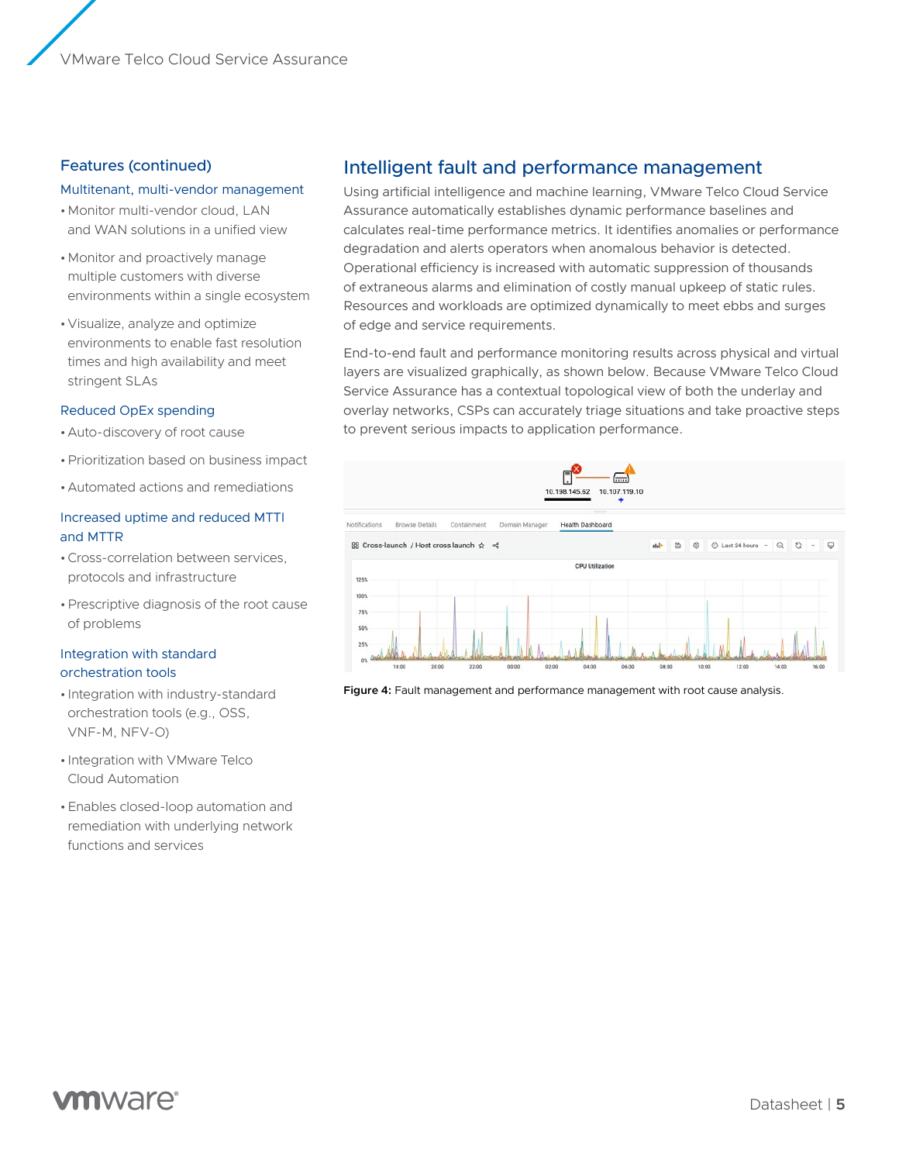#### Features (continued)

#### Multitenant, multi-vendor management

- •Monitor multi‑vendor cloud, LAN and WAN solutions in a unified view
- •Monitor and proactively manage multiple customers with diverse environments within a single ecosystem
- •Visualize, analyze and optimize environments to enable fast resolution times and high availability and meet stringent SLAs

#### Reduced OpEx spending

- •Auto‑discovery of root cause
- •Prioritization based on business impact
- •Automated actions and remediations

#### Increased uptime and reduced MTTI and MTTR

- •Cross‑correlation between services, protocols and infrastructure
- •Prescriptive diagnosis of the root cause of problems

#### Integration with standard orchestration tools

- Integration with industry‑standard orchestration tools (e.g., OSS, VNF‑M, NFV‑O)
- Integration with VMware Telco Cloud Automation
- •Enables closed‑loop automation and remediation with underlying network functions and services

## Intelligent fault and performance management

Using artificial intelligence and machine learning, VMware Telco Cloud Service Assurance automatically establishes dynamic performance baselines and calculates real‑time performance metrics. It identifies anomalies or performance degradation and alerts operators when anomalous behavior is detected. Operational efficiency is increased with automatic suppression of thousands of extraneous alarms and elimination of costly manual upkeep of static rules. Resources and workloads are optimized dynamically to meet ebbs and surges of edge and service requirements.

End‑to‑end fault and performance monitoring results across physical and virtual layers are visualized graphically, as shown below. Because VMware Telco Cloud Service Assurance has a contextual topological view of both the underlay and overlay networks, CSPs can accurately triage situations and take proactive steps to prevent serious impacts to application performance.



**Figure 4:** Fault management and performance management with root cause analysis.

# mware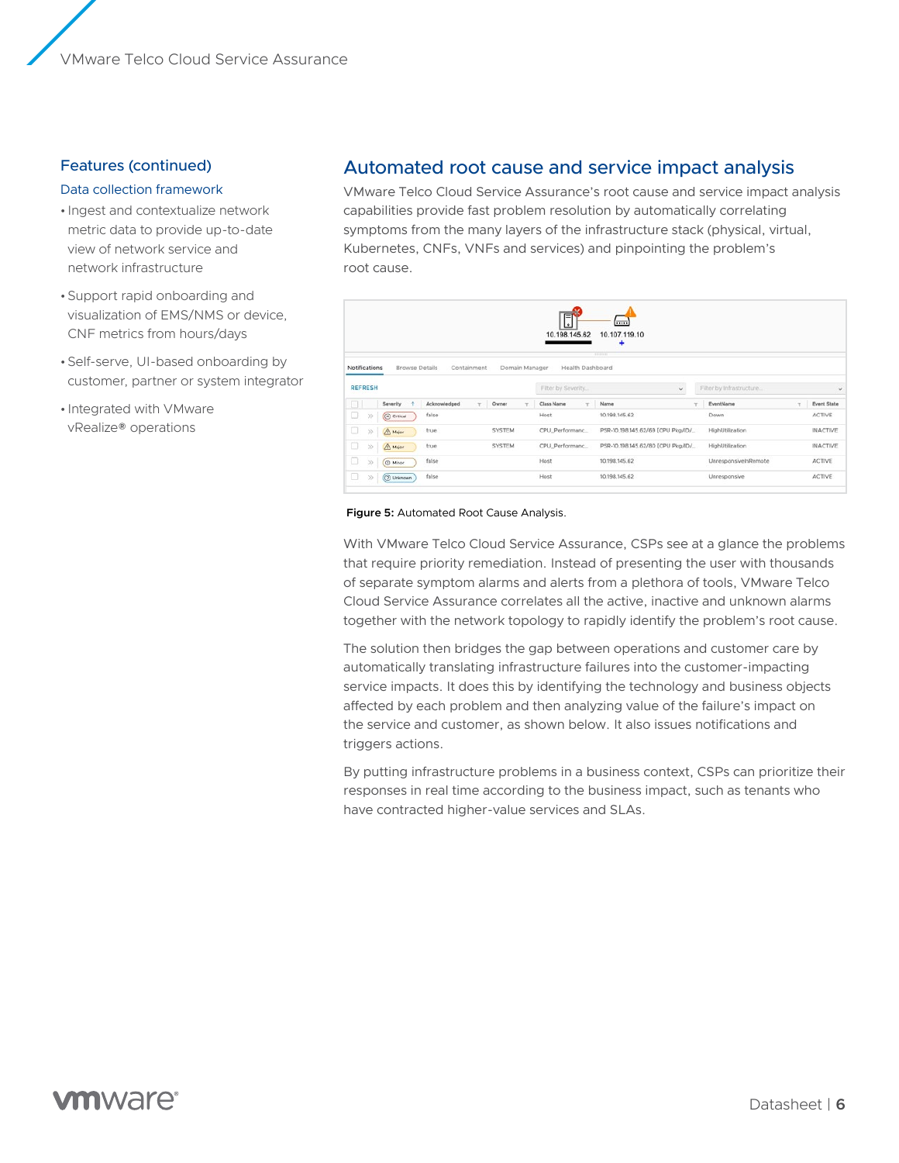#### Features (continued)

#### Data collection framework

- Ingest and contextualize network metric data to provide up-to-date view of network service and network infrastructure
- •Support rapid onboarding and visualization of EMS/NMS or device, CNF metrics from hours/days
- •Self‑serve, UI‑based onboarding by customer, partner or system integrator
- Integrated with VMware vRealize® operations

### Automated root cause and service impact analysis

VMware Telco Cloud Service Assurance's root cause and service impact analysis capabilities provide fast problem resolution by automatically correlating symptoms from the many layers of the infrastructure stack (physical, virtual, Kubernetes, CNFs, VNFs and services) and pinpointing the problem's root cause.

|                 |                       |                   |                 | đ<br>10.198.145.62                | 1<br>10.107.119.10<br>۰<br><b>HILLER</b> |                                    |        |                    |
|-----------------|-----------------------|-------------------|-----------------|-----------------------------------|------------------------------------------|------------------------------------|--------|--------------------|
| Notifications   | <b>Browse Details</b> | Containment       | Domain Manager  | Health Dashboard                  |                                          |                                    |        |                    |
| <b>REFRESH</b>  |                       |                   |                 | $_{\rm v}$<br>Filter by Severity. |                                          | Filter by Infrastructure<br>$\sim$ |        |                    |
| o               | Severity.             | Acknowledged<br>T | Owner<br>$\sim$ | T<br>Class Name                   | Name<br>٠                                | EventName                          | $\tau$ | <b>Event State</b> |
| o<br>$33-$      | $\bigcirc$ Critical   | false             |                 | Host                              | 10.198.145.62                            | Down                               |        | ACTIVE             |
| о<br>$^{55}$    | A Major               | true.             | <b>SYSTEM</b>   | CPU Performanc                    | PSR-10.198.145.62/69 [CPU Pkg/ID/        | HighUtilization                    |        | <b>INACTIVE</b>    |
|                 | A Major               | true              | SYSTEM          | CPU_Performanc                    | PSR-10.198.145.62/80 [CPU Pkg/ID/        | HighUtilization                    |        | <b>INACTIVE</b>    |
| 35              |                       |                   |                 | Host                              | 10.198.145.62                            | UnresponsivelnRemote               |        | <b>ACTIVE</b>      |
| o<br>o<br>$\gg$ | <b>C</b> Minor        | false             |                 |                                   |                                          |                                    |        |                    |

#### **Figure 5:** Automated Root Cause Analysis.

With VMware Telco Cloud Service Assurance, CSPs see at a glance the problems that require priority remediation. Instead of presenting the user with thousands of separate symptom alarms and alerts from a plethora of tools, VMware Telco Cloud Service Assurance correlates all the active, inactive and unknown alarms together with the network topology to rapidly identify the problem's root cause.

The solution then bridges the gap between operations and customer care by automatically translating infrastructure failures into the customer‑impacting service impacts. It does this by identifying the technology and business objects affected by each problem and then analyzing value of the failure's impact on the service and customer, as shown below. It also issues notifications and triggers actions.

By putting infrastructure problems in a business context, CSPs can prioritize their responses in real time according to the business impact, such as tenants who have contracted higher-value services and SLAs.

# **vm**ware<sup>®</sup>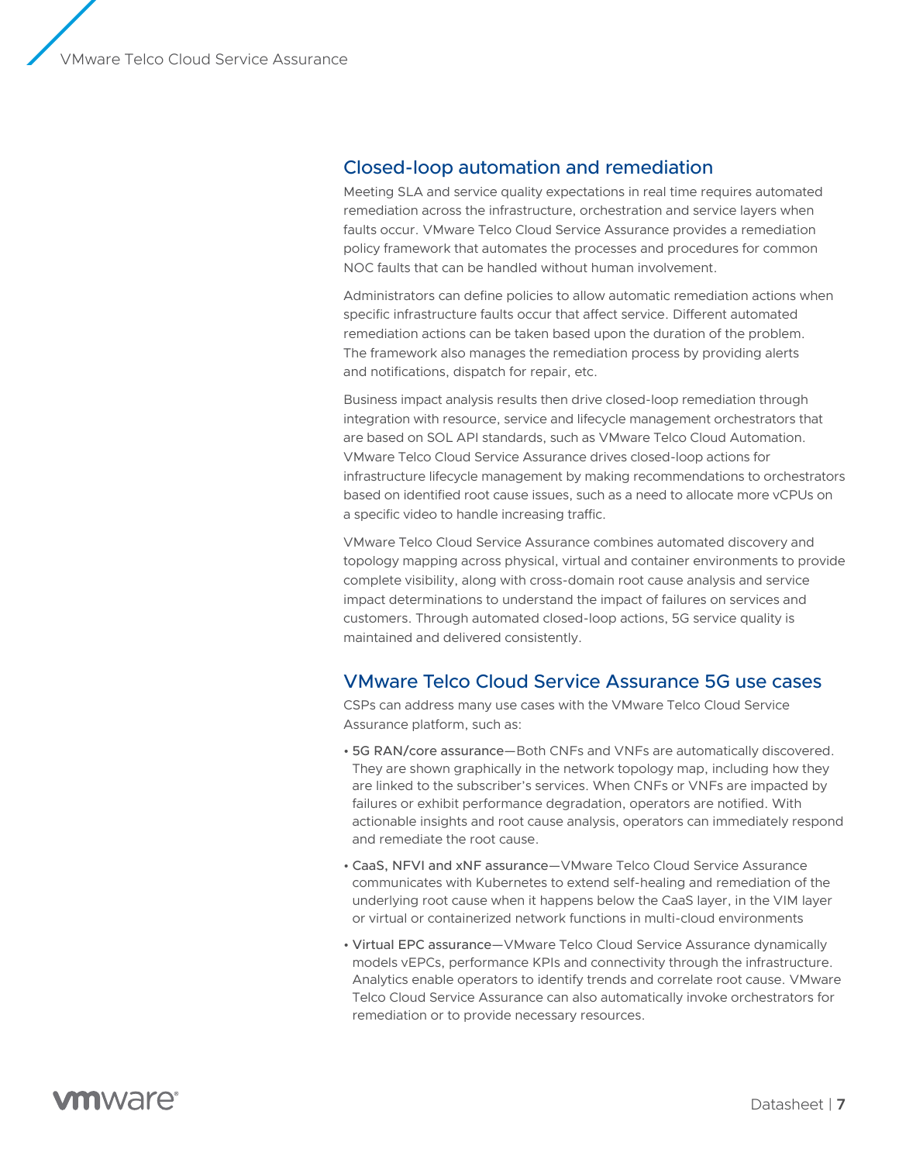VMware Telco Cloud Service Assurance

### Closed‑loop automation and remediation

Meeting SLA and service quality expectations in real time requires automated remediation across the infrastructure, orchestration and service layers when faults occur. VMware Telco Cloud Service Assurance provides a remediation policy framework that automates the processes and procedures for common NOC faults that can be handled without human involvement.

Administrators can define policies to allow automatic remediation actions when specific infrastructure faults occur that affect service. Different automated remediation actions can be taken based upon the duration of the problem. The framework also manages the remediation process by providing alerts and notifications, dispatch for repair, etc.

Business impact analysis results then drive closed‑loop remediation through integration with resource, service and lifecycle management orchestrators that are based on SOL API standards, such as VMware Telco Cloud Automation. VMware Telco Cloud Service Assurance drives closed‑loop actions for infrastructure lifecycle management by making recommendations to orchestrators based on identified root cause issues, such as a need to allocate more vCPUs on a specific video to handle increasing traffic.

VMware Telco Cloud Service Assurance combines automated discovery and topology mapping across physical, virtual and container environments to provide complete visibility, along with cross‑domain root cause analysis and service impact determinations to understand the impact of failures on services and customers. Through automated closed‑loop actions, 5G service quality is maintained and delivered consistently.

### VMware Telco Cloud Service Assurance 5G use cases

CSPs can address many use cases with the VMware Telco Cloud Service Assurance platform, such as:

- 5G RAN/core assurance—Both CNFs and VNFs are automatically discovered. They are shown graphically in the network topology map, including how they are linked to the subscriber's services. When CNFs or VNFs are impacted by failures or exhibit performance degradation, operators are notified. With actionable insights and root cause analysis, operators can immediately respond and remediate the root cause.
- CaaS, NFVI and xNF assurance—VMware Telco Cloud Service Assurance communicates with Kubernetes to extend self‑healing and remediation of the underlying root cause when it happens below the CaaS layer, in the VIM layer or virtual or containerized network functions in multi-cloud environments
- Virtual EPC assurance—VMware Telco Cloud Service Assurance dynamically models vEPCs, performance KPIs and connectivity through the infrastructure. Analytics enable operators to identify trends and correlate root cause. VMware Telco Cloud Service Assurance can also automatically invoke orchestrators for remediation or to provide necessary resources.

# **vm**ware<sup>®</sup>